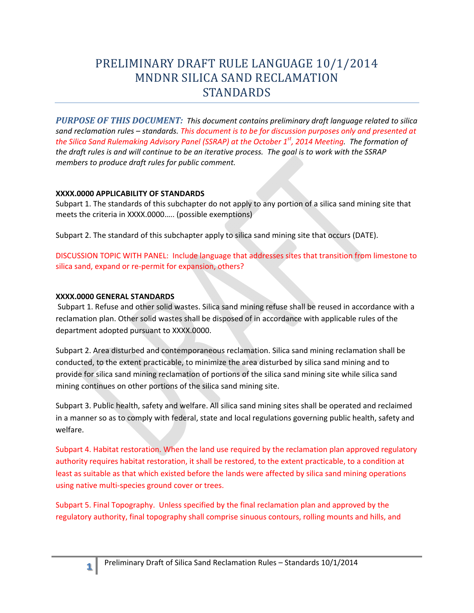# PRELIMINARY DRAFT RULE LANGUAGE 10/1/2014 MNDNR SILICA SAND RECLAMATION STANDARDS

 *PURPOSE OF THIS DOCUMENT: This document contains preliminary draft language related to silica sand reclamation rules – standards. This document is to be for discussion purposes only and presented at the Silica Sand Rulemaking Advisory Panel (SSRAP) at the October 1st, 2014 Meeting. The formation of the draft rules is and will continue to be an iterative process. The goal is to work with the SSRAP members to produce draft rules for public comment.* 

### **XXXX.0000 APPLICABILITY OF STANDARDS**

Subpart 1. The standards of this subchapter do not apply to any portion of a silica sand mining site that meets the criteria in XXXX.0000….. (possible exemptions)

Subpart 2. The standard of this subchapter apply to silica sand mining site that occurs (DATE).

DISCUSSION TOPIC WITH PANEL: Include language that addresses sites that transition from limestone to silica sand, expand or re-permit for expansion, others?

### **XXXX.0000 GENERAL STANDARDS**

 Subpart 1. Refuse and other solid wastes. Silica sand mining refuse shall be reused in accordance with a reclamation plan. Other solid wastes shall be disposed of in accordance with applicable rules of the department adopted pursuant to XXXX.0000.

Subpart 2. Area disturbed and contemporaneous reclamation. Silica sand mining reclamation shall be conducted, to the extent practicable, to minimize the area disturbed by silica sand mining and to provide for silica sand mining reclamation of portions of the silica sand mining site while silica sand mining continues on other portions of the silica sand mining site.

Subpart 3. Public health, safety and welfare. All silica sand mining sites shall be operated and reclaimed in a manner so as to comply with federal, state and local regulations governing public health, safety and welfare.

Subpart 4. Habitat restoration. When the land use required by the reclamation plan approved regulatory authority requires habitat restoration, it shall be restored, to the extent practicable, to a condition at least as suitable as that which existed before the lands were affected by silica sand mining operations using native multi-species ground cover or trees.

Subpart 5. Final Topography. Unless specified by the final reclamation plan and approved by the regulatory authority, final topography shall comprise sinuous contours, rolling mounts and hills, and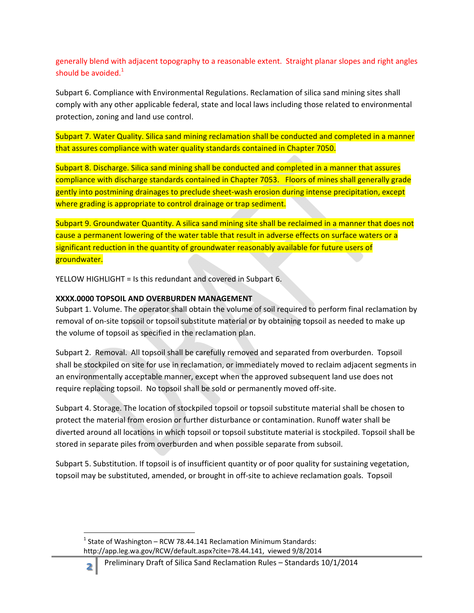generally blend with adjacent topography to a reasonable extent. Straight planar slopes and right angles should be avoided. $1$ 

Subpart 6. Compliance with Environmental Regulations. Reclamation of silica sand mining sites shall comply with any other applicable federal, state and local laws including those related to environmental protection, zoning and land use control.

Subpart 7. Water Quality. Silica sand mining reclamation shall be conducted and completed in a manner that assures compliance with water quality standards contained in Chapter 7050.

Subpart 8. Discharge. Silica sand mining shall be conducted and completed in a manner that assures compliance with discharge standards contained in Chapter 7053. Floors of mines shall generally grade gently into postmining drainages to preclude sheet-wash erosion during intense precipitation, except where grading is appropriate to control drainage or trap sediment.

Subpart 9. Groundwater Quantity. A silica sand mining site shall be reclaimed in a manner that does not cause a permanent lowering of the water table that result in adverse effects on surface waters or a significant reduction in the quantity of groundwater reasonably available for future users of groundwater.

YELLOW HIGHLIGHT = Is this redundant and covered in Subpart 6.

## **XXXX.0000 TOPSOIL AND OVERBURDEN MANAGEMENT**

 $\overline{\phantom{a}}$ 

**φ**

 the volume of topsoil as specified in the reclamation plan. Subpart 1. Volume. The operator shall obtain the volume of soil required to perform final reclamation by removal of on-site topsoil or topsoil substitute material or by obtaining topsoil as needed to make up

Subpart 2. Removal. All topsoil shall be carefully removed and separated from overburden. Topsoil shall be stockpiled on site for use in reclamation, or immediately moved to reclaim adjacent segments in an environmentally acceptable manner, except when the approved subsequent land use does not require replacing topsoil. No topsoil shall be sold or permanently moved off-site.

Subpart 4. Storage. The location of stockpiled topsoil or topsoil substitute material shall be chosen to protect the material from erosion or further disturbance or contamination. Runoff water shall be diverted around all locations in which topsoil or topsoil substitute material is stockpiled. Topsoil shall be stored in separate piles from overburden and when possible separate from subsoil.

Subpart 5. Substitution. If topsoil is of insufficient quantity or of poor quality for sustaining vegetation, topsoil may be substituted, amended, or brought in off-site to achieve reclamation goals. Topsoil

 http://app.leg.wa.gov/RCW/default.aspx?cite=78.44.141, viewed 9/8/2014  $<sup>1</sup>$  State of Washington – RCW 78.44.141 Reclamation Minimum Standards:</sup>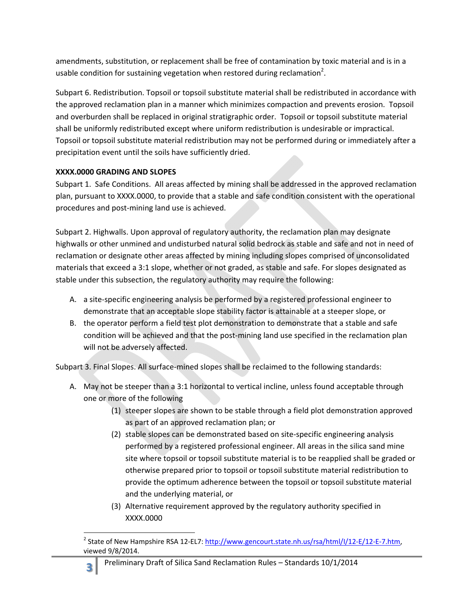amendments, substitution, or replacement shall be free of contamination by toxic material and is in a usable condition for sustaining vegetation when restored during reclamation<sup>2</sup>.

Subpart 6. Redistribution. Topsoil or topsoil substitute material shall be redistributed in accordance with the approved reclamation plan in a manner which minimizes compaction and prevents erosion. Topsoil and overburden shall be replaced in original stratigraphic order. Topsoil or topsoil substitute material shall be uniformly redistributed except where uniform redistribution is undesirable or impractical. Topsoil or topsoil substitute material redistribution may not be performed during or immediately after a precipitation event until the soils have sufficiently dried.

# **XXXX.0000 GRADING AND SLOPES**

Subpart 1. Safe Conditions. All areas affected by mining shall be addressed in the approved reclamation plan, pursuant to XXXX.0000, to provide that a stable and safe condition consistent with the operational procedures and post-mining land use is achieved.

 Subpart 2. Highwalls. Upon approval of regulatory authority, the reclamation plan may designate stable under this subsection, the regulatory authority may require the following: reclamation or designate other areas affected by mining including slopes comprised of unconsolidated materials that exceed a 3:1 slope, whether or not graded, as stable and safe. For slopes designated as highwalls or other unmined and undisturbed natural solid bedrock as stable and safe and not in need of

- stable under this subsection, the regulatory authority may require the following:<br>A. a site-specific engineering analysis be performed by a registered professional engineer to demonstrate that an acceptable slope stability factor is attainable at a steeper slope, or
	- B. the operator perform a field test plot demonstration to demonstrate that a stable and safe condition will be achieved and that the post-mining land use specified in the reclamation plan will not be adversely affected.

Subpart 3. Final Slopes. All surface-mined slopes shall be reclaimed to the following standards:

- A. May not be steeper than a 3:1 horizontal to vertical incline, unless found acceptable through one or more of the following
	- as part of an approved reclamation plan; or (1) steeper slopes are shown to be stable through a field plot demonstration approved
	- (2) stable slopes can be demonstrated based on site-specific engineering analysis performed by a registered professional engineer. All areas in the silica sand mine site where topsoil or topsoil substitute material is to be reapplied shall be graded or otherwise prepared prior to topsoil or topsoil substitute material redistribution to provide the optimum adherence between the topsoil or topsoil substitute material and the underlying material, or
	- (3) Alternative requirement approved by the regulatory authority specified in XXXX.0000

**χ** Preliminary Draft of Silica Sand Reclamation Rules – Standards 10/1/2014

**<sup>.</sup>** <sup>2</sup> State of New Hampshire RSA 12-EL7: http://www.gencourt.state.nh.us/rsa/html/I/12-E/12-E-7.htm, viewed 9/8/2014.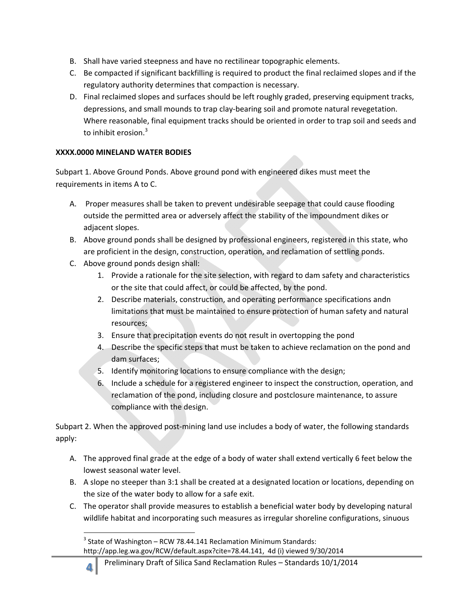- B. Shall have varied steepness and have no rectilinear topographic elements.
- C. Be compacted if significant backfilling is required to product the final reclaimed slopes and if the regulatory authority determines that compaction is necessary.
- depressions, and small mounds to trap clay-bearing soil and promote natural revegetation. D. Final reclaimed slopes and surfaces should be left roughly graded, preserving equipment tracks, Where reasonable, final equipment tracks should be oriented in order to trap soil and seeds and to inhibit erosion.<sup>3</sup>

## **XXXX.0000 MINELAND WATER BODIES**

 Subpart 1. Above Ground Ponds. Above ground pond with engineered dikes must meet the requirements in items A to C.

- A. Proper measures shall be taken to prevent undesirable seepage that could cause flooding outside the permitted area or adversely affect the stability of the impoundment dikes or adjacent slopes.
- are proficient in the design, construction, operation, and reclamation of settling ponds. B. Above ground ponds shall be designed by professional engineers, registered in this state, who
- C. Above ground ponds design shall:

 $\overline{\phantom{a}}$ 

- Provide a rationale for the site selection, with regard to dam safety and characteristics 1. or the site that could affect, or could be affected, by the pond.
- Describe materials, construction, and operating performance specifications andn 2. limitations that must be maintained to ensure protection of human safety and natural resources;
- Ensure that precipitation events do not result in overtopping the pond 3.
- Describe the specific steps that must be taken to achieve reclamation on the pond and 4. dam surfaces;
- 5. Identify monitoring locations to ensure compliance with the design;
- 6. Include a schedule for a registered engineer to inspect the construction, operation, and compliance with the design. reclamation of the pond, including closure and postclosure maintenance, to assure

Subpart 2. When the approved post-mining land use includes a body of water, the following standards apply:

- A. The approved final grade at the edge of a body of water shall extend vertically 6 feet below the lowest seasonal water level.
- B. A slope no steeper than 3:1 shall be created at a designated location or locations, depending on the size of the water body to allow for a safe exit.
- C. The operator shall provide measures to establish a beneficial water body by developing natural wildlife habitat and incorporating such measures as irregular shoreline configurations, sinuous

 $3$  State of Washington – RCW 78.44.141 Reclamation Minimum Standards:

 http://app.leg.wa.gov/RCW/default.aspx?cite=78.44.141, 4d (i) viewed 9/30/2014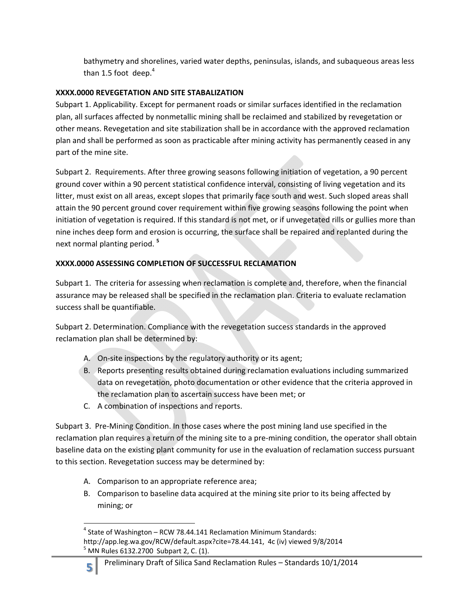bathymetry and shorelines, varied water depths, peninsulas, islands, and subaqueous areas less than 1.5 foot deep. $4$ 

## **XXXX.0000 REVEGETATION AND SITE STABALIZATION**

Subpart 1. Applicability. Except for permanent roads or similar surfaces identified in the reclamation plan, all surfaces affected by nonmetallic mining shall be reclaimed and stabilized by revegetation or other means. Revegetation and site stabilization shall be in accordance with the approved reclamation plan and shall be performed as soon as practicable after mining activity has permanently ceased in any part of the mine site.

Subpart 2. Requirements. After three growing seasons following initiation of vegetation, a 90 percent ground cover within a 90 percent statistical confidence interval, consisting of living vegetation and its litter, must exist on all areas, except slopes that primarily face south and west. Such sloped areas shall attain the 90 percent ground cover requirement within five growing seasons following the point when initiation of vegetation is required. If this standard is not met, or if unvegetated rills or gullies more than nine inches deep form and erosion is occurring, the surface shall be repaired and replanted during the next normal planting period. **<sup>5</sup>**

# **XXXX.0000 ASSESSING COMPLETION OF SUCCESSFUL RECLAMATION**

Subpart 1. The criteria for assessing when reclamation is complete and, therefore, when the financial assurance may be released shall be specified in the reclamation plan. Criteria to evaluate reclamation success shall be quantifiable.

Subpart 2. Determination. Compliance with the revegetation success standards in the approved reclamation plan shall be determined by:

- A. On-site inspections by the regulatory authority or its agent;
- B. Reports presenting results obtained during reclamation evaluations including summarized data on revegetation, photo documentation or other evidence that the criteria approved in the reclamation plan to ascertain success have been met; or
- C. A combination of inspections and reports.

Subpart 3. Pre-Mining Condition. In those cases where the post mining land use specified in the reclamation plan requires a return of the mining site to a pre-mining condition, the operator shall obtain baseline data on the existing plant community for use in the evaluation of reclamation success pursuant to this section. Revegetation success may be determined by:

- A. Comparison to an appropriate reference area;
- B. Comparison to baseline data acquired at the mining site prior to its being affected by mining; or

**<sup>.</sup>**  $<sup>4</sup>$  State of Washington – RCW 78.44.141 Reclamation Minimum Standards:</sup> http://app.leg.wa.gov/RCW/default.aspx?cite=78.44.141, 4c (iv) viewed 9/8/2014  $<sup>5</sup>$  MN Rules 6132.2700 Subpart 2, C. (1).</sup>